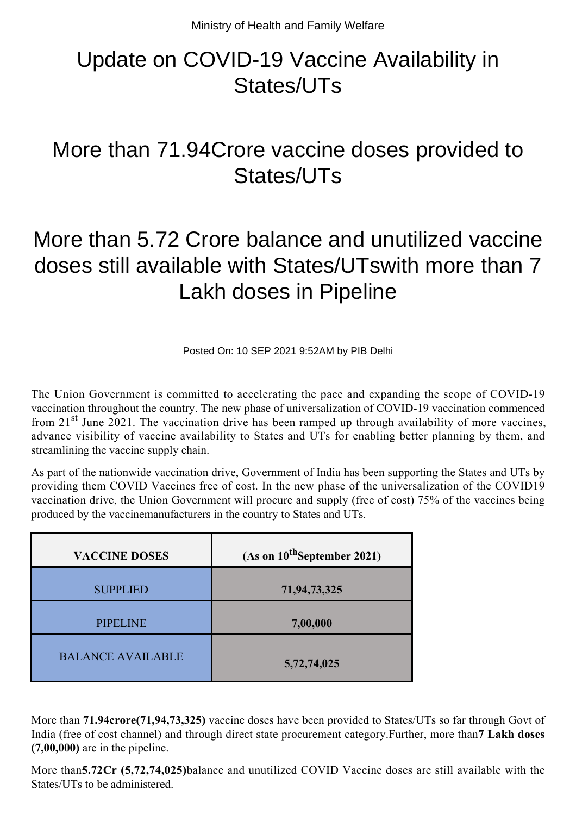## Update on COVID-19 Vaccine Availability in States/UTs

## More than 71.94Crore vaccine doses provided to States/UTs

## More than 5.72 Crore balance and unutilized vaccine doses still available with States/UTswith more than 7 Lakh doses in Pipeline

Posted On: 10 SEP 2021 9:52AM by PIB Delhi

The Union Government is committed to accelerating the pace and expanding the scope of COVID-19 vaccination throughout the country. The new phase of universalization of COVID-19 vaccination commenced from 21<sup>st</sup> June 2021. The vaccination drive has been ramped up through availability of more vaccines, advance visibility of vaccine availability to States and UTs for enabling better planning by them, and streamlining the vaccine supply chain.

As part of the nationwide vaccination drive, Government of India has been supporting the States and UTs by providing them COVID Vaccines free of cost. In the new phase of the universalization of the COVID19 vaccination drive, the Union Government will procure and supply (free of cost) 75% of the vaccines being produced by the vaccinemanufacturers in the country to States and UTs.

| <b>VACCINE DOSES</b>     | (As on $10^{th}$ September 2021) |
|--------------------------|----------------------------------|
| <b>SUPPLIED</b>          | 71,94,73,325                     |
| <b>PIPELINE</b>          | 7,00,000                         |
| <b>BALANCE AVAILABLE</b> | 5,72,74,025                      |

More than **71.94crore(71,94,73,325)** vaccine doses have been provided to States/UTs so far through Govt of India (free of cost channel) and through direct state procurement category.Further, more than**7 Lakh doses (7,00,000)** are in the pipeline.

More than**5.72Cr (5,72,74,025)**balance and unutilized COVID Vaccine doses are still available with the States/UTs to be administered.